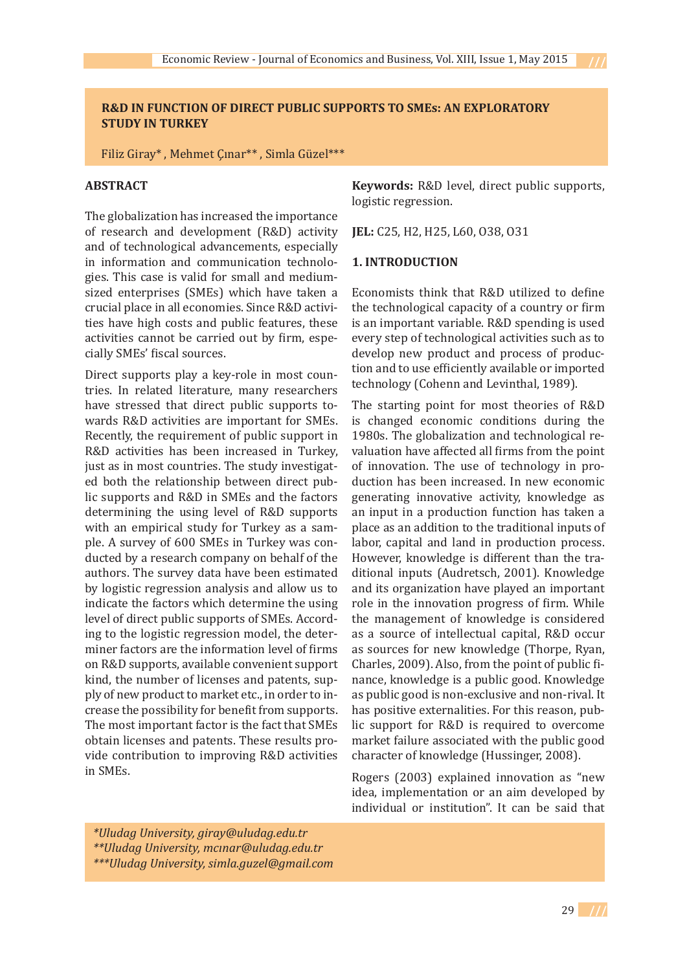## **R&D IN FUNCTION OF DIRECT PUBLIC SUPPORTS TO SMEs: AN EXPLORATORY STUDY IN TURKEY**

Filiz Giray\* , Mehmet Çınar\*\* , Simla Güzel\*\*\*

## **ABSTRACT**

The globalization has increased the importance of research and development (R&D) activity and of technological advancements, especially in information and communication technologies. This case is valid for small and mediumsized enterprises (SMEs) which have taken a crucial place in all economies. Since R&D activities have high costs and public features, these activities cannot be carried out by firm, especially SMEs' fiscal sources.

Direct supports play a key-role in most countries. In related literature, many researchers have stressed that direct public supports towards R&D activities are important for SMEs. Recently, the requirement of public support in R&D activities has been increased in Turkey, just as in most countries. The study investigated both the relationship between direct public supports and R&D in SMEs and the factors determining the using level of R&D supports with an empirical study for Turkey as a sample. A survey of 600 SMEs in Turkey was conducted by a research company on behalf of the authors. The survey data have been estimated by logistic regression analysis and allow us to indicate the factors which determine the using level of direct public supports of SMEs. According to the logistic regression model, the determiner factors are the information level of firms on R&D supports, available convenient support kind, the number of licenses and patents, supply of new product to market etc., in order to increase the possibility for benefit from supports. The most important factor is the fact that SMEs obtain licenses and patents. These results provide contribution to improving R&D activities in SMEs.

**Keywords:** R&D level, direct public supports, logistic regression.

**JEL:** C25, H2, H25, L60, O38, O31

#### **1. INTRODUCTION**

Economists think that R&D utilized to define the technological capacity of a country or firm is an important variable. R&D spending is used every step of technological activities such as to develop new product and process of production and to use efficiently available or imported technology (Cohenn and Levinthal, 1989).

The starting point for most theories of R&D is changed economic conditions during the 1980s. The globalization and technological revaluation have affected all firms from the point of innovation. The use of technology in production has been increased. In new economic generating innovative activity, knowledge as an input in a production function has taken a place as an addition to the traditional inputs of labor, capital and land in production process. However, knowledge is different than the traditional inputs (Audretsch, 2001). Knowledge and its organization have played an important role in the innovation progress of firm. While the management of knowledge is considered as a source of intellectual capital, R&D occur as sources for new knowledge (Thorpe, Ryan, Charles, 2009). Also, from the point of public finance, knowledge is a public good. Knowledge as public good is non-exclusive and non-rival. It has positive externalities. For this reason, public support for R&D is required to overcome market failure associated with the public good character of knowledge (Hussinger, 2008).

Rogers (2003) explained innovation as "new idea, implementation or an aim developed by individual or institution". It can be said that

 *\*Uludag University, giray@uludag.edu.tr \*\*Uludag University, mcınar@uludag.edu.tr \*\*\*Uludag University, simla.guzel@gmail.com*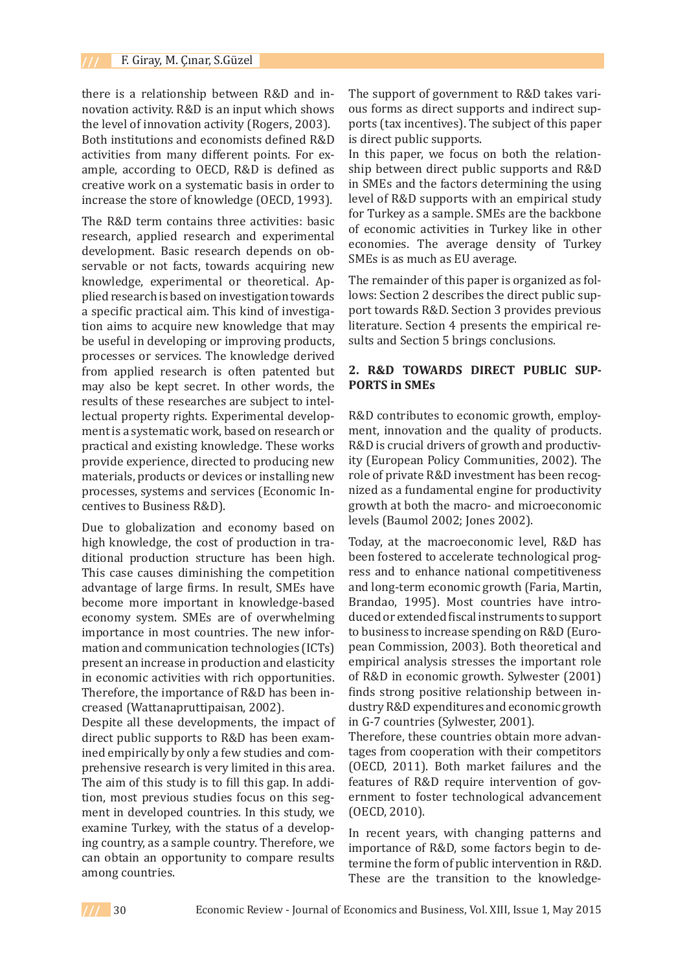there is a relationship between R&D and innovation activity. R&D is an input which shows the level of innovation activity (Rogers, 2003). Both institutions and economists defined R&D activities from many different points. For example, according to OECD, R&D is defined as creative work on a systematic basis in order to increase the store of knowledge (OECD, 1993).

The R&D term contains three activities: basic research, applied research and experimental development. Basic research depends on observable or not facts, towards acquiring new knowledge, experimental or theoretical. Applied research is based on investigation towards a specific practical aim. This kind of investigation aims to acquire new knowledge that may be useful in developing or improving products, processes or services. The knowledge derived from applied research is often patented but may also be kept secret. In other words, the results of these researches are subject to intellectual property rights. Experimental development is a systematic work, based on research or practical and existing knowledge. These works provide experience, directed to producing new materials, products or devices or installing new processes, systems and services (Economic Incentives to Business R&D).

Due to globalization and economy based on high knowledge, the cost of production in traditional production structure has been high. This case causes diminishing the competition advantage of large firms. In result, SMEs have become more important in knowledge-based economy system. SMEs are of overwhelming importance in most countries. The new information and communication technologies (ICTs) present an increase in production and elasticity in economic activities with rich opportunities. Therefore, the importance of R&D has been increased (Wattanapruttipaisan, 2002).

Despite all these developments, the impact of direct public supports to R&D has been examined empirically by only a few studies and comprehensive research is very limited in this area. The aim of this study is to fill this gap. In addition, most previous studies focus on this segment in developed countries. In this study, we examine Turkey, with the status of a developing country, as a sample country. Therefore, we can obtain an opportunity to compare results among countries.

The support of government to R&D takes various forms as direct supports and indirect supports (tax incentives). The subject of this paper is direct public supports.

In this paper, we focus on both the relationship between direct public supports and R&D in SMEs and the factors determining the using level of R&D supports with an empirical study for Turkey as a sample. SMEs are the backbone of economic activities in Turkey like in other economies. The average density of Turkey SMEs is as much as EU average.

The remainder of this paper is organized as follows: Section 2 describes the direct public support towards R&D. Section 3 provides previous literature. Section 4 presents the empirical results and Section 5 brings conclusions.

## **2. R&D TOWARDS DIRECT PUBLIC SUP-PORTS in SMEs**

R&D contributes to economic growth, employment, innovation and the quality of products. R&D is crucial drivers of growth and productivity (European Policy Communities, 2002). The role of private R&D investment has been recognized as a fundamental engine for productivity growth at both the macro- and microeconomic levels (Baumol 2002; Jones 2002).

Today, at the macroeconomic level, R&D has been fostered to accelerate technological progress and to enhance national competitiveness and long-term economic growth (Faria, Martin, Brandao, 1995). Most countries have introduced or extended fiscal instruments to support to business to increase spending on R&D (European Commission, 2003). Both theoretical and empirical analysis stresses the important role of R&D in economic growth. Sylwester (2001) finds strong positive relationship between industry R&D expenditures and economic growth in G-7 countries (Sylwester, 2001).

Therefore, these countries obtain more advantages from cooperation with their competitors (OECD, 2011). Both market failures and the features of R&D require intervention of government to foster technological advancement (OECD, 2010).

In recent years, with changing patterns and importance of R&D, some factors begin to determine the form of public intervention in R&D. These are the transition to the knowledge-

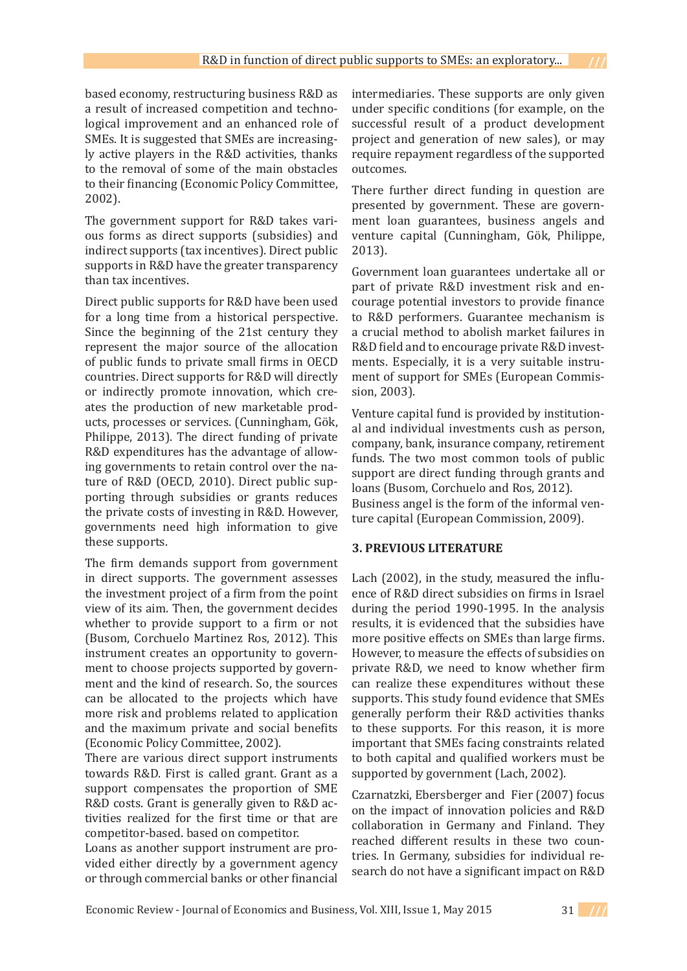based economy, restructuring business R&D as a result of increased competition and technological improvement and an enhanced role of SMEs. It is suggested that SMEs are increasingly active players in the R&D activities, thanks to the removal of some of the main obstacles to their financing (Economic Policy Committee, 2002).

The government support for R&D takes various forms as direct supports (subsidies) and indirect supports (tax incentives). Direct public supports in R&D have the greater transparency than tax incentives.

Direct public supports for R&D have been used for a long time from a historical perspective. Since the beginning of the 21st century they represent the major source of the allocation of public funds to private small firms in OECD countries. Direct supports for R&D will directly or indirectly promote innovation, which creates the production of new marketable products, processes or services. (Cunningham, Gök, Philippe, 2013). The direct funding of private R&D expenditures has the advantage of allowing governments to retain control over the nature of R&D (OECD, 2010). Direct public supporting through subsidies or grants reduces the private costs of investing in R&D. However, governments need high information to give these supports.

The firm demands support from government in direct supports. The government assesses the investment project of a firm from the point view of its aim. Then, the government decides whether to provide support to a firm or not (Busom, Corchuelo Martinez Ros, 2012). This instrument creates an opportunity to government to choose projects supported by government and the kind of research. So, the sources can be allocated to the projects which have more risk and problems related to application and the maximum private and social benefits (Economic Policy Committee, 2002).

There are various direct support instruments towards R&D. First is called grant. Grant as a support compensates the proportion of SME R&D costs. Grant is generally given to R&D activities realized for the first time or that are competitor-based. based on competitor.

Loans as another support instrument are provided either directly by a government agency or through commercial banks or other financial intermediaries. These supports are only given under specific conditions (for example, on the successful result of a product development project and generation of new sales), or may require repayment regardless of the supported outcomes.

There further direct funding in question are presented by government. These are government loan guarantees, business angels and venture capital (Cunningham, Gök, Philippe, 2013).

Government loan guarantees undertake all or part of private R&D investment risk and encourage potential investors to provide finance to R&D performers. Guarantee mechanism is a crucial method to abolish market failures in R&D field and to encourage private R&D investments. Especially, it is a very suitable instrument of support for SMEs (European Commission, 2003).

Venture capital fund is provided by institutional and individual investments cush as person, company, bank, insurance company, retirement funds. The two most common tools of public support are direct funding through grants and loans (Busom, Corchuelo and Ros, 2012). Business angel is the form of the informal venture capital (European Commission, 2009).

## **3. PREVIOUS LITERATURE**

Lach (2002), in the study, measured the influence of R&D direct subsidies on firms in Israel during the period 1990-1995. In the analysis results, it is evidenced that the subsidies have more positive effects on SMEs than large firms. However, to measure the effects of subsidies on private R&D, we need to know whether firm can realize these expenditures without these supports. This study found evidence that SMEs generally perform their R&D activities thanks to these supports. For this reason, it is more important that SMEs facing constraints related to both capital and qualified workers must be supported by government (Lach, 2002).

Czarnatzki, Ebersberger and Fier (2007) focus on the impact of innovation policies and R&D collaboration in Germany and Finland. They reached different results in these two countries. In Germany, subsidies for individual research do not have a significant impact on R&D

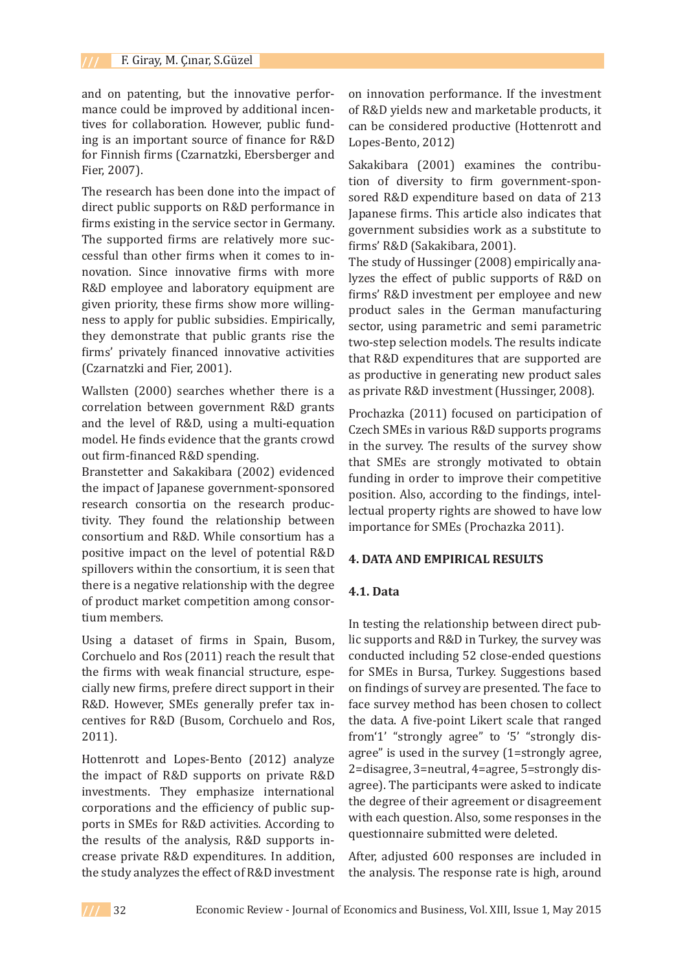and on patenting, but the innovative performance could be improved by additional incentives for collaboration. However, public funding is an important source of finance for R&D for Finnish firms (Czarnatzki, Ebersberger and Fier, 2007).

The research has been done into the impact of direct public supports on R&D performance in firms existing in the service sector in Germany. The supported firms are relatively more successful than other firms when it comes to innovation. Since innovative firms with more R&D employee and laboratory equipment are given priority, these firms show more willingness to apply for public subsidies. Empirically, they demonstrate that public grants rise the firms' privately financed innovative activities (Czarnatzki and Fier, 2001).

Wallsten (2000) searches whether there is a correlation between government R&D grants and the level of R&D, using a multi-equation model. He finds evidence that the grants crowd out firm-financed R&D spending.

Branstetter and Sakakibara (2002) evidenced the impact of Japanese government-sponsored research consortia on the research productivity. They found the relationship between consortium and R&D. While consortium has a positive impact on the level of potential R&D spillovers within the consortium, it is seen that there is a negative relationship with the degree of product market competition among consortium members.

Using a dataset of firms in Spain, Busom, Corchuelo and Ros (2011) reach the result that the firms with weak financial structure, especially new firms, prefere direct support in their R&D. However, SMEs generally prefer tax incentives for R&D (Busom, Corchuelo and Ros, 2011).

Hottenrott and Lopes-Bento (2012) analyze the impact of R&D supports on private R&D investments. They emphasize international corporations and the efficiency of public supports in SMEs for R&D activities. According to the results of the analysis, R&D supports increase private R&D expenditures. In addition, the study analyzes the effect of R&D investment on innovation performance. If the investment of R&D yields new and marketable products, it can be considered productive (Hottenrott and Lopes-Bento, 2012)

Sakakibara (2001) examines the contribution of diversity to firm government-sponsored R&D expenditure based on data of 213 Japanese firms. This article also indicates that government subsidies work as a substitute to firms' R&D (Sakakibara, 2001).

The study of Hussinger (2008) empirically analyzes the effect of public supports of R&D on firms' R&D investment per employee and new product sales in the German manufacturing sector, using parametric and semi parametric two-step selection models. The results indicate that R&D expenditures that are supported are as productive in generating new product sales as private R&D investment (Hussinger, 2008).

Prochazka (2011) focused on participation of Czech SMEs in various R&D supports programs in the survey. The results of the survey show that SMEs are strongly motivated to obtain funding in order to improve their competitive position. Also, according to the findings, intellectual property rights are showed to have low importance for SMEs (Prochazka 2011).

### **4. DATA AND EMPIRICAL RESULTS**

#### **4.1. Data**

In testing the relationship between direct public supports and R&D in Turkey, the survey was conducted including 52 close-ended questions for SMEs in Bursa, Turkey. Suggestions based on findings of survey are presented. The face to face survey method has been chosen to collect the data. A five-point Likert scale that ranged from'1' "strongly agree" to '5' "strongly disagree" is used in the survey (1=strongly agree, 2=disagree, 3=neutral, 4=agree, 5=strongly disagree). The participants were asked to indicate the degree of their agreement or disagreement with each question. Also, some responses in the questionnaire submitted were deleted.

After, adjusted 600 responses are included in the analysis. The response rate is high, around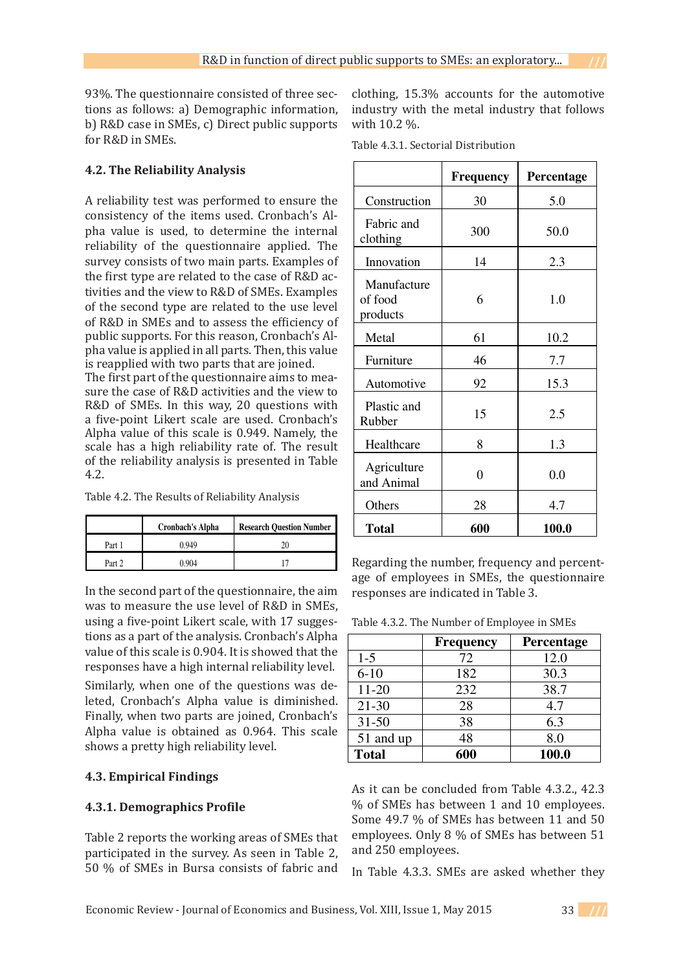93%. The questionnaire consisted of three sections as follows: a) Demographic information, b) R&D case in SMEs, c) Direct public supports for R&D in SMEs.

## **4.2. The Reliability Analysis**

A reliability test was performed to ensure the  $\Box$ consistency of the items used. Cronbach's Al $pha$  value is used, to determine the internal reliability of the questionnaire applied. The  $\,$   $\,$   $\,$ survey consists of two main parts. Examples of the first type are related to the case of R&D activities and the view to R&D of SMEs. Examples  $\hskip1cm \rule{2.6cm}{0.2cm}$ of the second type are related to the use level of R&D in SMEs and to assess the efficiency of public supports. For this reason, Cronbach's Al-**4.2. The Reliability Analysis**   $p$ ha value is applied in all parts. Then, this value is reapplied with two parts that are joined.  $\Box$ In testing the relationship between direct public supports and R&D in Turkey, the  $p_{\rm H}$  value is used, to determine the internal  $|$  $\frac{d}{dt}$  is type are related to the case of  $\frac{d}{dt}$  ac form

The first part of the questionnaire aims to measure the case of R&D activities and the view to  $\overline{\phantom{a}}$ R&D of SMEs. In this way, 20 questions with a five-point Likert scale are used. Cronbach's Alpha value of this scale is  $0.949$ . Namely, the scale has a high reliability rate of. The result  $\Box$ of the reliability analysis is presented in Table  $\vert$  $4.2.$  $K\&D$  of owns. In this way, 20 questions with  $\vert$ 

| Table 4.2. The Results of Reliability Analysis |  |
|------------------------------------------------|--|
|------------------------------------------------|--|

|        | <b>Cronbach's Alpha</b> | <b>Research Ouestion Number</b> |
|--------|-------------------------|---------------------------------|
| Part 1 | 040 (                   |                                 |
| Part 2 | ) 904                   |                                 |

In the second part of the questionnaire, the  $\lim_{n \to \infty}$ was to measure the use level of R&D in SMEs, SMEs, using a five-point Likert scale, with 17 suggestions as a part of the analysis. using a five-point Likert scale, with 17 sugges- Ta tions as a part of the analysis. Cronbach's Alpha value of this scale is 0.904. It is showed that the responses have a high internal reliability level. internal reliability of the control of the control of the control of the control of the control of the control of the control of the control of the control of the control of the control of the control of the control of the value of this scale is 0.904. It is showed that the  $\parallel$ 

Similarly, when one of the questions was deleted, Cronbach's Alpha value is diminished. Finally, when two parts are joined, Cronbach's Alpha value is obtained as 0.964. This scale shows a pretty high reliability level.

# **4.3. Empirical Findings**

# **4.3.1. Demographics Profile**

Table 2 reports the working areas of SMEs that participated in the survey. As seen in Table 2, 50 % of SMEs in Bursa consists of fabric and

clothing, 15.3% accounts for the automotive industry with the metal industry that follows with 10.2 %.

Table 4.3.1. Sectorial Distribution

|                                    | <b>Frequency</b> | Percentage |
|------------------------------------|------------------|------------|
| Construction                       | 30               | 5.0        |
| Fabric and<br>clothing             | 300              | 50.0       |
| Innovation                         | 14               | 2.3        |
| Manufacture<br>of food<br>products | 6                | 1.0        |
| Metal                              | 61               | 10.2       |
| Furniture                          | 46               | 7.7        |
| Automotive                         | 92               | 15.3       |
| Plastic and<br>Rubber              | 15               | 2.5        |
| Healthcare                         | 8                | 1.3        |
| Agriculture<br>and Animal          | 0                | 0.0        |
| Others                             | 28               | 4.7        |
| <b>Total</b>                       | 600              | 100.0      |

Regarding the number, frequency and percentage of employees in SMEs, the questionnaire responses are indicated in Table 3. **Table 3: The Number of** 

Table 4.3.2. The Number of Employee in SMEs **Employee in SMEs** 

|              | <b>Frequency</b> | Percentage |
|--------------|------------------|------------|
| $1-5$        | 72               | 12.0       |
| $6 - 10$     | 182              | 30.3       |
| 11-20        | 232              | 38.7       |
| $21 - 30$    | 28               | 4.7        |
| $31 - 50$    | 38               | 6.3        |
| 51 and up    | 48               | 8.0        |
| <b>Total</b> | 600              | 100.0      |

As it can be concluded from Table 4.3.2., 42.3 As it can be concluded from Table 3,  $\%$  of SMEs has between 1 and 10 employees. Some 49.7 % of SMEs has between 11 and 50 employees. Only 8 % of SMEs has between 51 and 250 employees.

In Table 4.3.3. SMEs are asked whether they

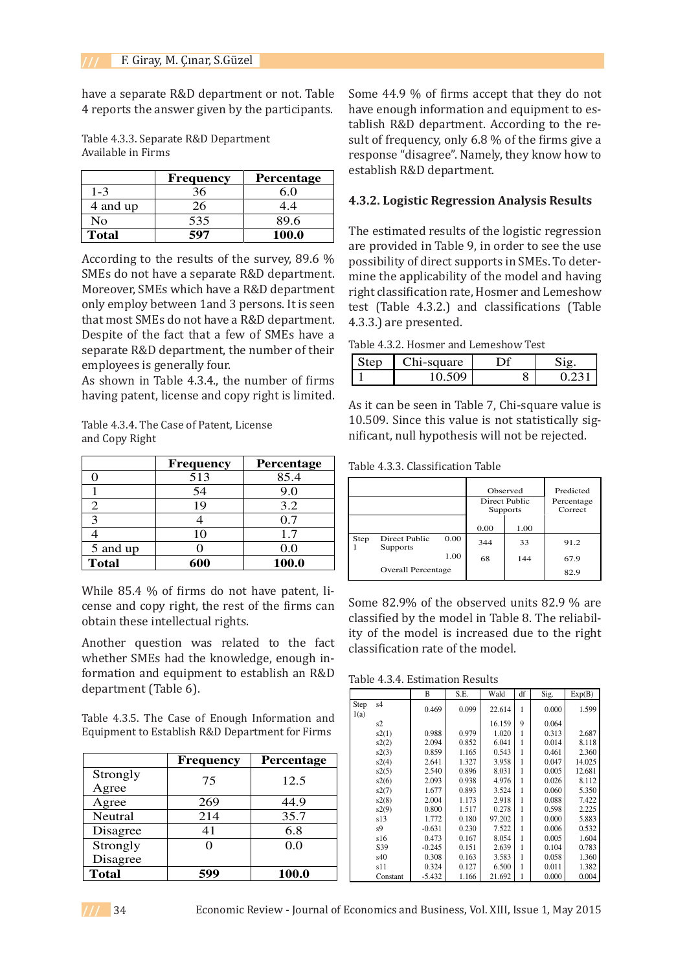have a separate R&D department or not. Table 4 reports the answer given by the participants. **Table 4: Separate R&D**  the participants.

Table 4.3.3. Separate R&D Department<br>Available in Firms Available in Firms **Department Available in Firms**  1.000 m = 1.1.1.0

|              | <b>Frequency</b> | <b>Percentage</b> |
|--------------|------------------|-------------------|
| $1 - 3$      | 36               | 60                |
| 4 and up     | 26               | 44                |
| No           | 535              | 89.6              |
| <b>Total</b> | 597              | 100.0             |

According to the results of the survey, 89.6  $\%$ According to the results of the survey, 09.0 %<br>SMEs do not have a separate R&D department. starts as not have a separate rich department.<br>Moreover, SMEs which have a R&D department only employ between 1and 3 persons. It is seen that most SMEs do not have a R&D department. Despite of the fact that a few of SMEs have a separate R&D department, the number of their expansive state in particular, and statistic of the employees is generally four. separate R&D department. Moreover, SMLS with the move a K&D department. nly employ between 1and 3 persons. It is seen<br>had most SMEs do not have a R&D department MES do not have a separate R&D department<br>Le recent only only have a R&D department floreover, SMES which have a R&D departmen

As shown in Table 4.3.4., the number of firms having patent, license and copy right is limited.

Table 4.3.4. The Case of Patent, License and Copy Right is limited. **License and Copy Right** As shown in Table 5, the number of Table 4.3.4. The Case of Patent, License

| <b>Frequency</b> | Percentage |
|------------------|------------|
| 513              | 85.4       |
| 54               | 9.0        |
| 19               | 3.2        |
|                  | 0.7        |
| 10               | 1.7        |
|                  | 0.0        |
| 600              | 100.0      |
|                  |            |

While 85.4 % of firms do not have patent, liwhile 63.4 % of fifths do not have patent, fi-<br>cense and copy right, the rest of the firms can obtain these intellectual rights.  $5 - 1 - 0.00$ While 85.4 % of firms do not have pater

Another question was related to the fact whether SMEs had the knowledge, enough information and equipment to establish an R&D department (Table 6). Neutral 214 35.7 Another question was related to

Table 4.3.5. The Case of Enough Information and rable 4.5.5. The Case of Enough Information and<br>Equipment to Establish R&D Department for Firms Equipment to Establish K&D Department for Fire

|                      | <b>Frequency</b> | Percentage |
|----------------------|------------------|------------|
| Strongly<br>Agree    | 75               | 12.5       |
| Agree                | 269              | 44.9       |
| <b>Neutral</b>       | 214              | 35.7       |
| Disagree             | 41               | 6.8        |
| Strongly<br>Disagree |                  | 0.0        |
| <b>Total</b>         | 599              | 100.0      |

Some 44.9 % of firms accept that they do not have enough information and equipment to establish R&D department. According to the result of frequency, only 6.8 % of the firms give a response "disagree". Namely, they know how to establish R&D department.

### **4.3.2. Logistic Regression Analysis Results**

The estimated results of the logistic regression are provided in Table 9, in order to see the use possibility of direct supports in SMEs. To determine the applicability of the model and having right classification rate, Hosmer and Lemeshow test (Table 4.3.2.) and classifications (Table 4.3.3.) are presented. **Table 7: Hosmer** 

Table 4.3.2. Hosmer and Lemeshow Test **Test** 

|  | square |   |  |
|--|--------|---|--|
|  |        | ັ |  |

As it can be seen in Table 7, Chi-square value is 10.509. Since this value is not statistically significant, null hypothesis will not be rejected.  $\frac{1}{2}$  is can be seen in Table 7, Chi-square value b.509. Since this value is not statistically sig

Table 4.3.3. Classification Table **Table 8: Classification Table** 

|                  |                           |      |      | Observed<br>Direct Public<br><b>Supports</b> | Predicted<br>Percentage<br>Correct |
|------------------|---------------------------|------|------|----------------------------------------------|------------------------------------|
|                  |                           |      | 0.00 | 1.00                                         |                                    |
| Step<br>Supports | Direct Public             | 0.00 | 344  | 33                                           | 91.2                               |
|                  |                           | 1.00 | 68   | 144                                          | 67.9                               |
|                  | <b>Overall Percentage</b> |      |      |                                              | 82.9                               |

 $\frac{1}{2}$  Some 82.9% of the observed units 82.9 % are classified by the model in Table 8. The reliability of the model is increased due to the right classification rate of the model.

Table 4.3.4. Estimation Results

| df<br>Sig.<br>B<br>S.E.<br>Wald<br>Exp(B)<br>s <sub>4</sub><br>Step<br>1.599<br>0.469<br>0.099<br>0.000<br>22.614<br>1<br>1(a)<br>ion and<br>16.159<br>9<br>0.064<br>s2<br>r Firms<br>0.988<br>0.979<br>0.313<br>s2(1)<br>1.020<br>2.687<br>0.852<br>0.014<br>8.118<br>s2(2)<br>2.094<br>6.041<br>s2(3)<br>0.859<br>1.165<br>0.543<br>0.461<br>2.360<br>ntage<br>1.327<br>3.958<br>0.047<br>14.025<br>s2(4)<br>2.641<br>0.896<br>8.031<br>0.005<br>12.681<br>s2(5)<br>2.540<br>.5<br>4.976<br>s2(6)<br>2.093<br>0.938<br>0.026<br>8.112<br>1.677<br>0.893<br>3.524<br>0.060<br>5.350<br>s2(7)<br>7.422<br>2.004<br>1.173<br>2.918<br>0.088<br>s2(8) |
|-----------------------------------------------------------------------------------------------------------------------------------------------------------------------------------------------------------------------------------------------------------------------------------------------------------------------------------------------------------------------------------------------------------------------------------------------------------------------------------------------------------------------------------------------------------------------------------------------------------------------------------------------------|
|                                                                                                                                                                                                                                                                                                                                                                                                                                                                                                                                                                                                                                                     |
|                                                                                                                                                                                                                                                                                                                                                                                                                                                                                                                                                                                                                                                     |
|                                                                                                                                                                                                                                                                                                                                                                                                                                                                                                                                                                                                                                                     |
|                                                                                                                                                                                                                                                                                                                                                                                                                                                                                                                                                                                                                                                     |
|                                                                                                                                                                                                                                                                                                                                                                                                                                                                                                                                                                                                                                                     |
|                                                                                                                                                                                                                                                                                                                                                                                                                                                                                                                                                                                                                                                     |
|                                                                                                                                                                                                                                                                                                                                                                                                                                                                                                                                                                                                                                                     |
|                                                                                                                                                                                                                                                                                                                                                                                                                                                                                                                                                                                                                                                     |
|                                                                                                                                                                                                                                                                                                                                                                                                                                                                                                                                                                                                                                                     |
|                                                                                                                                                                                                                                                                                                                                                                                                                                                                                                                                                                                                                                                     |
|                                                                                                                                                                                                                                                                                                                                                                                                                                                                                                                                                                                                                                                     |
|                                                                                                                                                                                                                                                                                                                                                                                                                                                                                                                                                                                                                                                     |
| 9.<br>1.517<br>2.225<br>0.800<br>0.278<br>0.598<br>s2(9)                                                                                                                                                                                                                                                                                                                                                                                                                                                                                                                                                                                            |
| .7<br>1.772<br>5.883<br>s13<br>0.180<br>97.202<br>0.000                                                                                                                                                                                                                                                                                                                                                                                                                                                                                                                                                                                             |
| 0.532<br>7.522<br>s <sub>9</sub><br>$-0.631$<br>0.230<br>0.006<br>8                                                                                                                                                                                                                                                                                                                                                                                                                                                                                                                                                                                 |
| 0.473<br>8.054<br>0.005<br>1.604<br>s16<br>0.167                                                                                                                                                                                                                                                                                                                                                                                                                                                                                                                                                                                                    |
| 0<br>S39<br>0.151<br>2.639<br>0.783<br>$-0.245$<br>0.104                                                                                                                                                                                                                                                                                                                                                                                                                                                                                                                                                                                            |
| 0.308<br>0.058<br>1.360<br>s40<br>0.163<br>3.583                                                                                                                                                                                                                                                                                                                                                                                                                                                                                                                                                                                                    |
| 1.382<br>s11<br>0.324<br>0.127<br>0.011<br>6.500                                                                                                                                                                                                                                                                                                                                                                                                                                                                                                                                                                                                    |
| 0.0<br>21.692<br>0.000<br>0.004<br>$-5.432$<br>1.166<br>Constant                                                                                                                                                                                                                                                                                                                                                                                                                                                                                                                                                                                    |
|                                                                                                                                                                                                                                                                                                                                                                                                                                                                                                                                                                                                                                                     |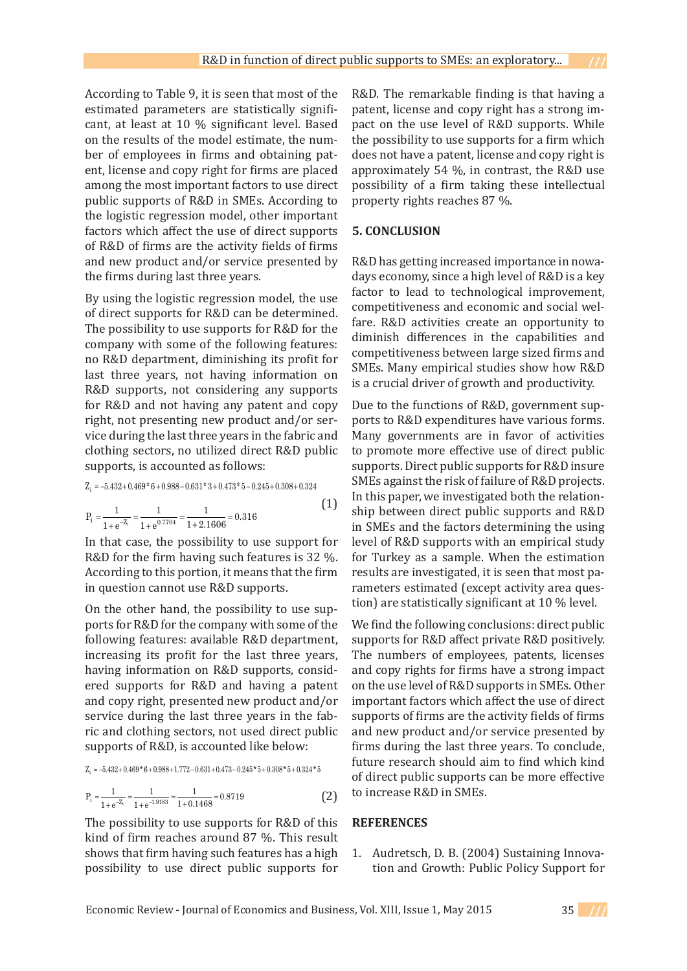According to Table 9, it is seen that most of the estimated parameters are statistically significant, at least at 10 % significant level. Based on the results of the model estimate, the number of employees in firms and obtaining patent, license and copy right for firms are placed among the most important factors to use direct public supports of R&D in SMEs. According to the logistic regression model, other important factors which affect the use of direct supports of R&D of firms are the activity fields of firms and new product and/or service presented by the firms during last three years. ncense and copy right for in ms are placed

By using the logistic regression model, the use of direct supports for R&D can be determined. The possibility to use supports for R&D for the  $\frac{m}{\text{d}n}$ company with some of the following features:  $\frac{dE}{d\Omega}$ no R&D department, diminishing its profit for  $\frac{dQ}{dh}$ last three years, not having information on R&D supports, not considering any supports for for R&D and not having any patent and copy Du right, not presenting new product and/or ser- po vice during the last three years in the fabric and Ma not during the the entropy state in the last textual three clothing sectors, no utilized direct R&D public to supports, is accounted as follows:  $A = \frac{1}{2}$ by using the logistic regression model, the use  $\epsilon_{\text{eq}}$ the fabric sectors, no utilized direct R&D public supports

$$
Z_i = -5.432 + 0.469 * 6 + 0.988 - 0.631 * 3 + 0.473 * 5 - 0.245 + 0.308 + 0.324
$$

$$
P_i = \frac{1}{1 + e^{-Z_i}} = \frac{1}{1 + e^{0.7704}} = \frac{1}{1 + 2.1606} = 0.316
$$
 (1)

In that case, the possibility to use support for Hev R&D for the firm having such features is  $32\%$ . fo According to this portion, it means that the firm in question cannot use R&D supports.

On the other hand, the possibility to use supports for R&D for the company with some of the following features: available R&D department, increasing its profit for the last three years, 10 having information on R&D supports, considered supports for R&D and having a patent and copy right, presented new product and/or service during the last three years in the fabric and clothing sectors, not used direct public supports of R&D, is accounted like below:  $f_{\rm F}$  and  $f_{\rm F}$  and  $f_{\rm F}$  is accounted like below:

 $Z_i = -5.432 + 0.469 * 6 + 0.988 + 1.772 - 0.631 + 0.473 - 0.245 * 5 + 0.308 * 5 + 0.324 * 5$ 

$$
P_i = \frac{1}{1 + e^{-Z_i}} = \frac{1}{1 + e^{-1.9183}} = \frac{1}{1 + 0.1468} = 0.8719
$$
 (2)

The possibility to use supports for R&D of this kind of firm reaches around  $87$  %. This result shows that firm having such features has a high possibility to use direct public supports for possibility to doe direct pattic supports to

R&D. The remarkable finding is that having a patent, license and copy right has a strong impact on the use level of R&D supports. While the possibility to use supports for a firm which does not have a patent, license and copy right is approximately 54 %, in contrast, the R&D use possibility of a firm taking these intellectual property rights reaches 87 %.

#### **5. CONCLUSION**

R&D has getting increased importance in nowadays economy, since a high level of R&D is a key factor to lead to technological improvement, competitiveness and economic and social welfare. R&D activities create an opportunity to diminish differences in the capabilities and competitiveness between large sized firms and SMEs. Many empirical studies show how R&D is a crucial driver of growth and productivity.

Due to the functions of R&D, government supports to R&D expenditures have various forms. Many governments are in favor of activities to promote more effective use of direct public supports. Direct public supports for R&D insure SMEs against the risk of failure of R&D projects. In this paper, we investigated both the relationship between direct public supports and R&D in SMEs and the factors determining the using level of R&D supports with an empirical study for Turkey as a sample. When the estimation results are investigated, it is seen that most parameters estimated (except activity area question) are statistically significant at 10 % level.

We find the following conclusions: direct public supports for R&D affect private R&D positively. The numbers of employees, patents, licenses and copy rights for firms have a strong impact on the use level of R&D supports in SMEs. Other important factors which affect the use of direct supports of firms are the activity fields of firms and new product and/or service presented by firms during the last three years. To conclude, future research should aim to find which kind of direct public supports can be more effective to increase R&D in SMEs.

### **REFERENCES**

Audretsch, D. B. (2004) Sustaining Innovation and Growth: Public Policy Support for 1.